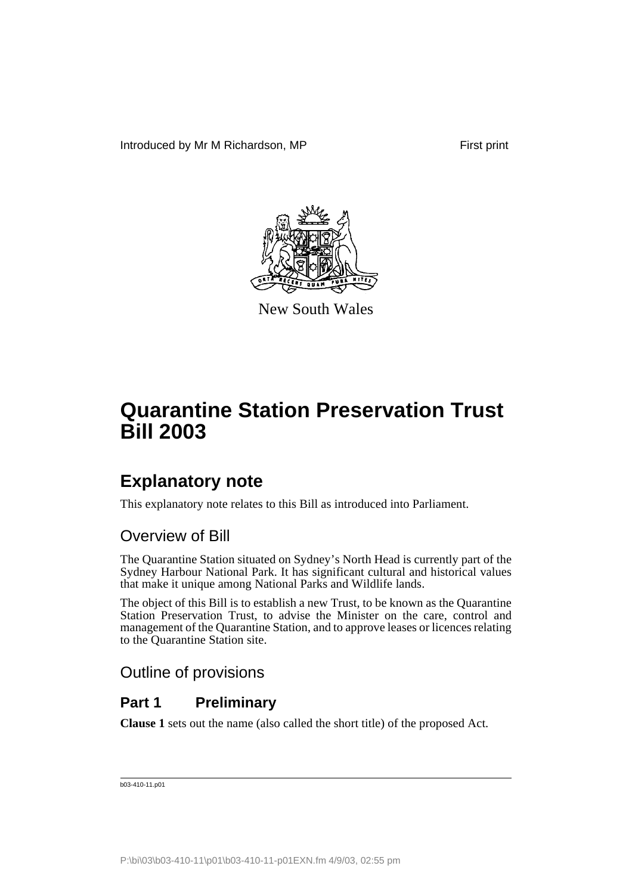

New South Wales

# **Explanatory note**

This explanatory note relates to this Bill as introduced into Parliament.

# Overview of Bill

The Quarantine Station situated on Sydney's North Head is currently part of the Sydney Harbour National Park. It has significant cultural and historical values that make it unique among National Parks and Wildlife lands.

The object of this Bill is to establish a new Trust, to be known as the Quarantine Station Preservation Trust, to advise the Minister on the care, control and management of the Quarantine Station, and to approve leases or licences relating to the Quarantine Station site.

# Outline of provisions

# **Part 1 Preliminary**

**Clause 1** sets out the name (also called the short title) of the proposed Act.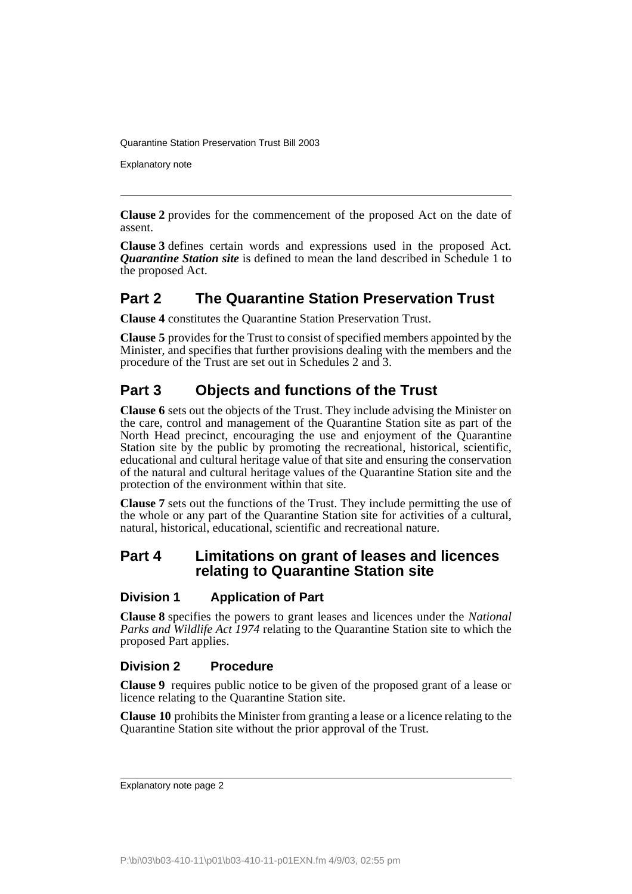Explanatory note

**Clause 2** provides for the commencement of the proposed Act on the date of assent.

**Clause 3** defines certain words and expressions used in the proposed Act. *Quarantine Station site* is defined to mean the land described in Schedule 1 to the proposed Act.

## **Part 2 The Quarantine Station Preservation Trust**

**Clause 4** constitutes the Quarantine Station Preservation Trust.

**Clause 5** provides for the Trust to consist of specified members appointed by the Minister, and specifies that further provisions dealing with the members and the procedure of the Trust are set out in Schedules 2 and 3.

## **Part 3 Objects and functions of the Trust**

**Clause 6** sets out the objects of the Trust. They include advising the Minister on the care, control and management of the Quarantine Station site as part of the North Head precinct, encouraging the use and enjoyment of the Quarantine Station site by the public by promoting the recreational, historical, scientific, educational and cultural heritage value of that site and ensuring the conservation of the natural and cultural heritage values of the Quarantine Station site and the protection of the environment within that site.

**Clause 7** sets out the functions of the Trust. They include permitting the use of the whole or any part of the Quarantine Station site for activities of a cultural, natural, historical, educational, scientific and recreational nature.

### **Part 4 Limitations on grant of leases and licences relating to Quarantine Station site**

#### **Division 1 Application of Part**

**Clause 8** specifies the powers to grant leases and licences under the *National Parks and Wildlife Act 1974* relating to the Quarantine Station site to which the proposed Part applies.

#### **Division 2 Procedure**

**Clause 9** requires public notice to be given of the proposed grant of a lease or licence relating to the Quarantine Station site.

**Clause 10** prohibits the Minister from granting a lease or a licence relating to the Quarantine Station site without the prior approval of the Trust.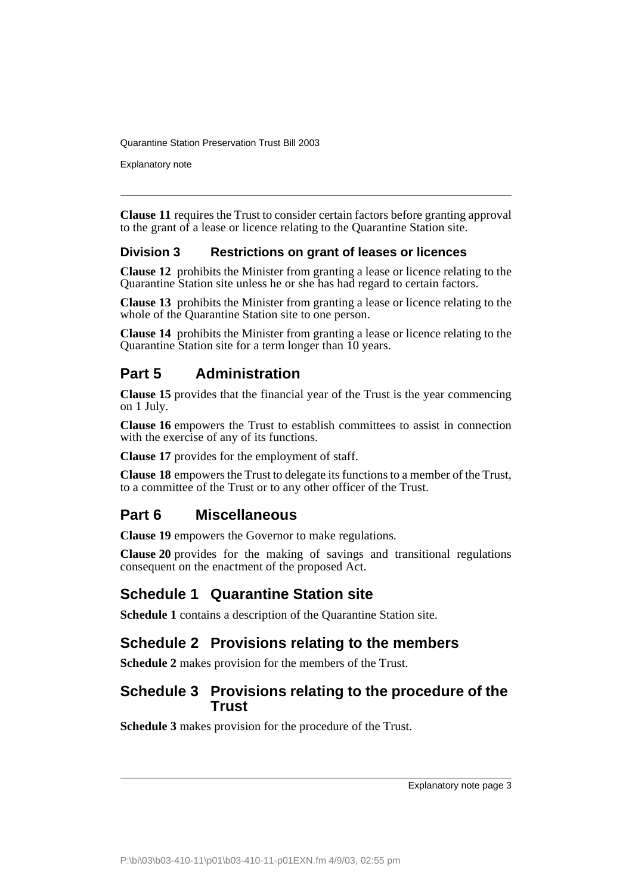Explanatory note

**Clause 11** requires the Trust to consider certain factors before granting approval to the grant of a lease or licence relating to the Quarantine Station site.

### **Division 3 Restrictions on grant of leases or licences**

**Clause 12** prohibits the Minister from granting a lease or licence relating to the Quarantine Station site unless he or she has had regard to certain factors.

**Clause 13** prohibits the Minister from granting a lease or licence relating to the whole of the Quarantine Station site to one person.

**Clause 14** prohibits the Minister from granting a lease or licence relating to the Quarantine Station site for a term longer than 10 years.

## **Part 5 Administration**

**Clause 15** provides that the financial year of the Trust is the year commencing on 1 July.

**Clause 16** empowers the Trust to establish committees to assist in connection with the exercise of any of its functions.

**Clause 17** provides for the employment of staff.

**Clause 18** empowers the Trust to delegate its functions to a member of the Trust, to a committee of the Trust or to any other officer of the Trust.

## **Part 6 Miscellaneous**

**Clause 19** empowers the Governor to make regulations.

**Clause 20** provides for the making of savings and transitional regulations consequent on the enactment of the proposed Act.

## **Schedule 1 Quarantine Station site**

**Schedule 1** contains a description of the Quarantine Station site.

# **Schedule 2 Provisions relating to the members**

**Schedule 2** makes provision for the members of the Trust.

## **Schedule 3 Provisions relating to the procedure of the Trust**

**Schedule 3** makes provision for the procedure of the Trust.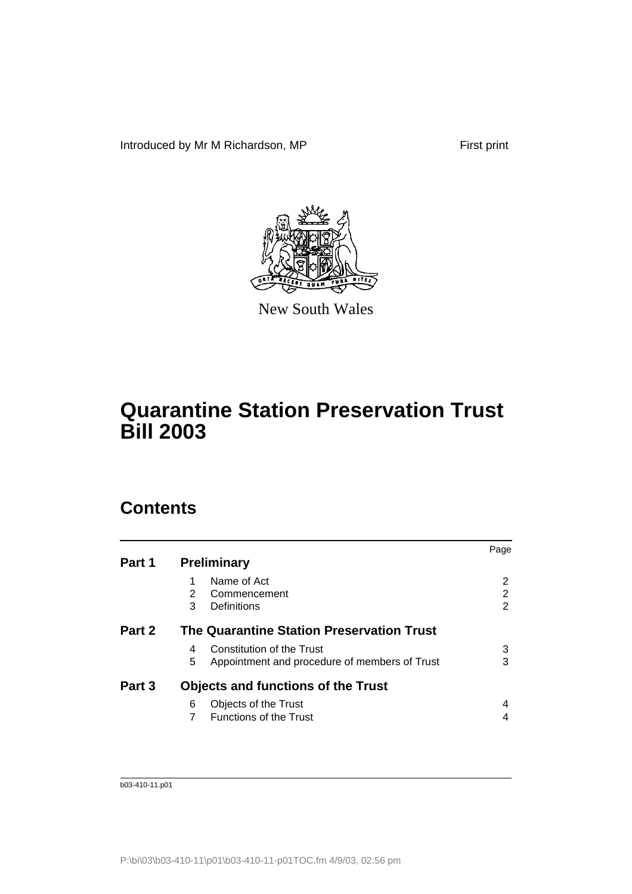Introduced by Mr M Richardson, MP First print



New South Wales

# **Quarantine Station Preservation Trust Bill 2003**

# **Contents**

|                                                    | Page |
|----------------------------------------------------|------|
| <b>Preliminary</b>                                 |      |
| Name of Act                                        | 2    |
| 2<br>Commencement                                  | 2    |
| Definitions<br>3                                   | 2    |
| The Quarantine Station Preservation Trust          |      |
| Constitution of the Trust<br>4                     | 3    |
| 5<br>Appointment and procedure of members of Trust | 3    |
| <b>Objects and functions of the Trust</b>          |      |
| Objects of the Trust<br>6                          |      |
| <b>Functions of the Trust</b>                      |      |
|                                                    |      |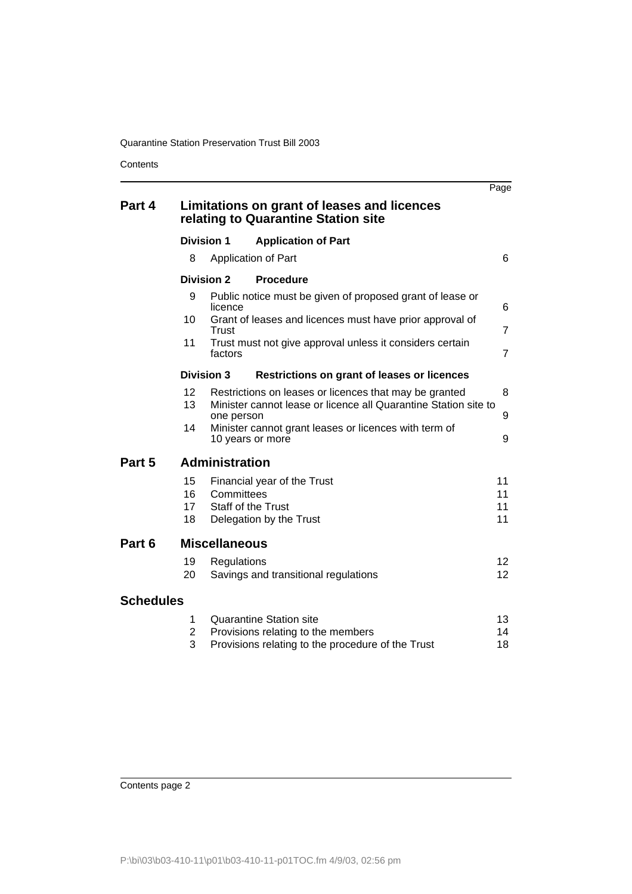**Contents** 

|                  |                          |                       |                                                                                                                           | Page                               |
|------------------|--------------------------|-----------------------|---------------------------------------------------------------------------------------------------------------------------|------------------------------------|
| Part 4           |                          |                       | Limitations on grant of leases and licences<br>relating to Quarantine Station site                                        |                                    |
|                  | <b>Division 1</b>        |                       | <b>Application of Part</b>                                                                                                |                                    |
|                  | 8                        |                       | Application of Part                                                                                                       | 6                                  |
|                  | <b>Division 2</b>        |                       | <b>Procedure</b>                                                                                                          |                                    |
|                  | 9                        | licence               | Public notice must be given of proposed grant of lease or                                                                 | 6                                  |
|                  | 10                       | Trust                 | Grant of leases and licences must have prior approval of                                                                  | $\overline{7}$                     |
|                  | 11                       | factors               | Trust must not give approval unless it considers certain                                                                  | $\overline{7}$                     |
|                  | <b>Division 3</b>        |                       | <b>Restrictions on grant of leases or licences</b>                                                                        |                                    |
|                  | 12 <sup>2</sup><br>13    | one person            | Restrictions on leases or licences that may be granted<br>Minister cannot lease or licence all Quarantine Station site to | 8<br>9                             |
|                  | 14                       |                       | Minister cannot grant leases or licences with term of<br>10 years or more                                                 | 9                                  |
| Part 5           |                          | <b>Administration</b> |                                                                                                                           |                                    |
|                  | 15<br>16<br>17<br>18     | Committees            | Financial year of the Trust<br><b>Staff of the Trust</b><br>Delegation by the Trust                                       | 11<br>11<br>11<br>11               |
| Part 6           |                          | <b>Miscellaneous</b>  |                                                                                                                           |                                    |
|                  | 19<br>20                 | Regulations           | Savings and transitional regulations                                                                                      | 12 <sup>2</sup><br>12 <sup>2</sup> |
| <b>Schedules</b> |                          |                       |                                                                                                                           |                                    |
|                  | 1<br>$\overline{c}$<br>3 |                       | <b>Quarantine Station site</b><br>Provisions relating to the members<br>Provisions relating to the procedure of the Trust | 13<br>14<br>18                     |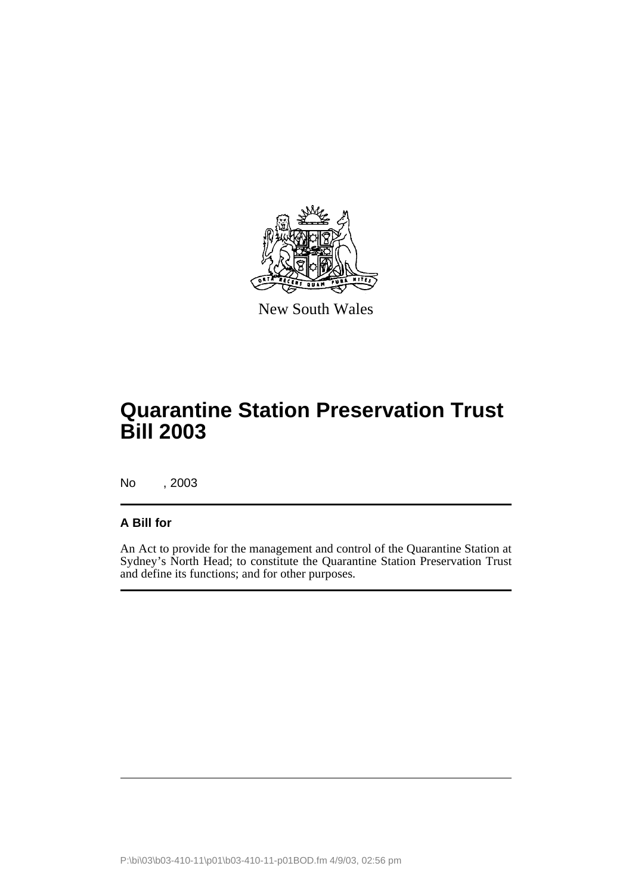

New South Wales

# **Quarantine Station Preservation Trust Bill 2003**

No , 2003

### **A Bill for**

An Act to provide for the management and control of the Quarantine Station at Sydney's North Head; to constitute the Quarantine Station Preservation Trust and define its functions; and for other purposes.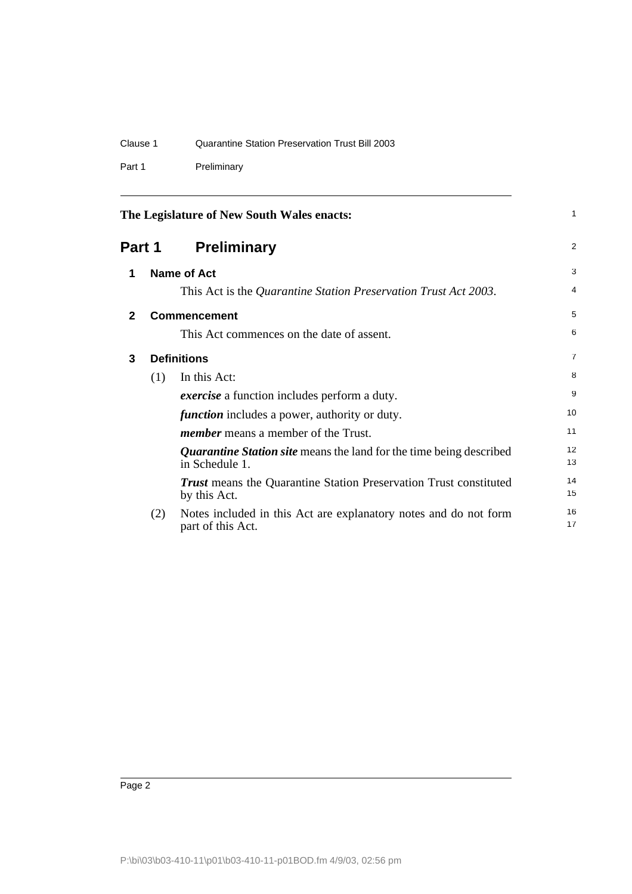Part 1 Preliminary

<span id="page-7-3"></span><span id="page-7-2"></span><span id="page-7-1"></span><span id="page-7-0"></span>

|              |        | The Legislature of New South Wales enacts:                                                   | $\mathbf{1}$   |
|--------------|--------|----------------------------------------------------------------------------------------------|----------------|
|              | Part 1 | <b>Preliminary</b>                                                                           | $\overline{2}$ |
| 1            |        | <b>Name of Act</b>                                                                           | 3              |
|              |        | This Act is the Quarantine Station Preservation Trust Act 2003.                              | 4              |
| $\mathbf{2}$ |        | <b>Commencement</b>                                                                          | 5              |
|              |        | This Act commences on the date of assent.                                                    | 6              |
| 3            |        | <b>Definitions</b>                                                                           | $\overline{7}$ |
|              | (1)    | In this Act:                                                                                 | 8              |
|              |        | <i>exercise</i> a function includes perform a duty.                                          | 9              |
|              |        | <i>function</i> includes a power, authority or duty.                                         | 10             |
|              |        | <i>member</i> means a member of the Trust.                                                   | 11             |
|              |        | <i>Quarantine Station site</i> means the land for the time being described<br>in Schedule 1. | 12<br>13       |
|              |        | <b>Trust</b> means the Quarantine Station Preservation Trust constituted<br>by this Act.     | 14<br>15       |
|              | (2)    | Notes included in this Act are explanatory notes and do not form<br>part of this Act.        | 16<br>17       |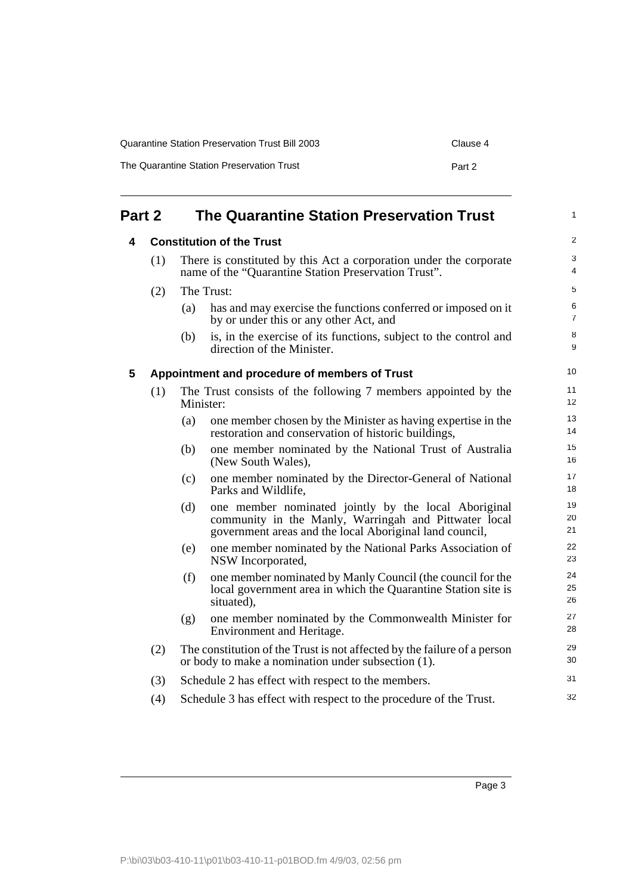| Quarantine Station Preservation Trust Bill 2003 | Clause 4 |
|-------------------------------------------------|----------|
| The Quarantine Station Preservation Trust       | Part 2   |

<span id="page-8-2"></span><span id="page-8-1"></span><span id="page-8-0"></span>

| Part 2 |     |                                  | <b>The Quarantine Station Preservation Trust</b>                                                                                                                         | $\mathbf{1}$        |  |  |
|--------|-----|----------------------------------|--------------------------------------------------------------------------------------------------------------------------------------------------------------------------|---------------------|--|--|
| 4      |     | <b>Constitution of the Trust</b> |                                                                                                                                                                          |                     |  |  |
|        | (1) |                                  | There is constituted by this Act a corporation under the corporate<br>name of the "Quarantine Station Preservation Trust".                                               | 3<br>4              |  |  |
|        | (2) |                                  | The Trust:                                                                                                                                                               | 5                   |  |  |
|        |     | (a)                              | has and may exercise the functions conferred or imposed on it<br>by or under this or any other Act, and                                                                  | 6<br>$\overline{7}$ |  |  |
|        |     | (b)                              | is, in the exercise of its functions, subject to the control and<br>direction of the Minister.                                                                           | 8<br>9              |  |  |
| 5      |     |                                  | Appointment and procedure of members of Trust                                                                                                                            | 10                  |  |  |
|        | (1) | Minister:                        | The Trust consists of the following 7 members appointed by the                                                                                                           | 11<br>12            |  |  |
|        |     | (a)                              | one member chosen by the Minister as having expertise in the<br>restoration and conservation of historic buildings,                                                      | 13<br>14            |  |  |
|        |     | (b)                              | one member nominated by the National Trust of Australia<br>(New South Wales),                                                                                            | 15<br>16            |  |  |
|        |     | (c)                              | one member nominated by the Director-General of National<br>Parks and Wildlife,                                                                                          | 17<br>18            |  |  |
|        |     | (d)                              | one member nominated jointly by the local Aboriginal<br>community in the Manly, Warringah and Pittwater local<br>government areas and the local Aboriginal land council, | 19<br>20<br>21      |  |  |
|        |     | (e)                              | one member nominated by the National Parks Association of<br>NSW Incorporated,                                                                                           | 22<br>23            |  |  |
|        |     | (f)                              | one member nominated by Manly Council (the council for the<br>local government area in which the Quarantine Station site is<br>situated).                                | 24<br>25<br>26      |  |  |
|        |     | (g)                              | one member nominated by the Commonwealth Minister for<br>Environment and Heritage.                                                                                       | 27<br>28            |  |  |
|        | (2) |                                  | The constitution of the Trust is not affected by the failure of a person<br>or body to make a nomination under subsection (1).                                           | 29<br>30            |  |  |
|        | (3) |                                  | Schedule 2 has effect with respect to the members.                                                                                                                       | 31                  |  |  |
|        | (4) |                                  | Schedule 3 has effect with respect to the procedure of the Trust.                                                                                                        | 32                  |  |  |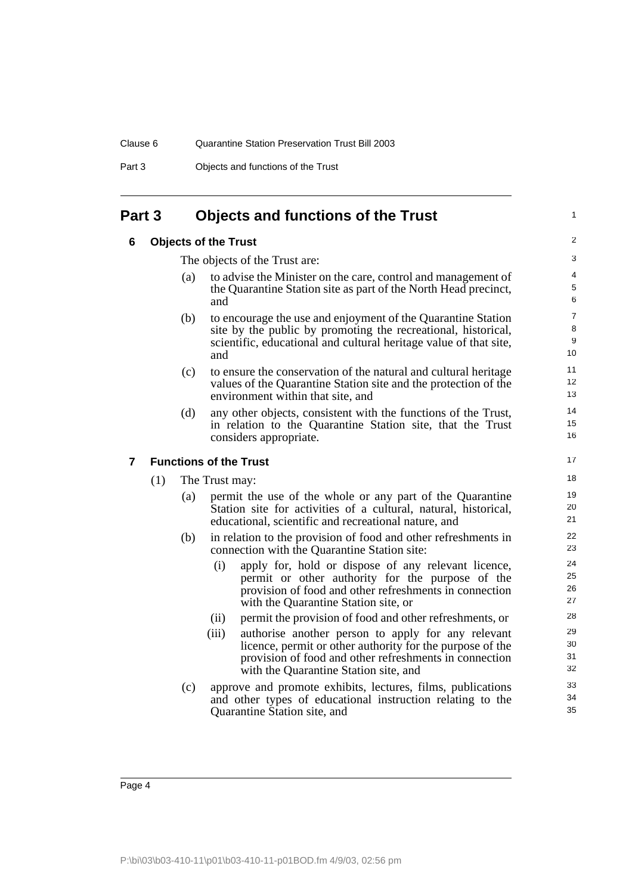Part 3 Objects and functions of the Trust

## <span id="page-9-1"></span><span id="page-9-0"></span>**Part 3 Objects and functions of the Trust**

#### **6 Objects of the Trust**

The objects of the Trust are:

(a) to advise the Minister on the care, control and management of the Quarantine Station site as part of the North Head precinct, and

1

- (b) to encourage the use and enjoyment of the Quarantine Station site by the public by promoting the recreational, historical, scientific, educational and cultural heritage value of that site, and
- (c) to ensure the conservation of the natural and cultural heritage values of the Quarantine Station site and the protection of the environment within that site, and
- (d) any other objects, consistent with the functions of the Trust, in relation to the Quarantine Station site, that the Trust considers appropriate.

### <span id="page-9-2"></span>**7 Functions of the Trust**

(1) The Trust may:

- (a) permit the use of the whole or any part of the Quarantine Station site for activities of a cultural, natural, historical, educational, scientific and recreational nature, and
- (b) in relation to the provision of food and other refreshments in connection with the Quarantine Station site:
	- (i) apply for, hold or dispose of any relevant licence, permit or other authority for the purpose of the provision of food and other refreshments in connection with the Quarantine Station site, or
	- (ii) permit the provision of food and other refreshments, or
	- (iii) authorise another person to apply for any relevant licence, permit or other authority for the purpose of the provision of food and other refreshments in connection with the Quarantine Station site, and
- (c) approve and promote exhibits, lectures, films, publications and other types of educational instruction relating to the Quarantine Station site, and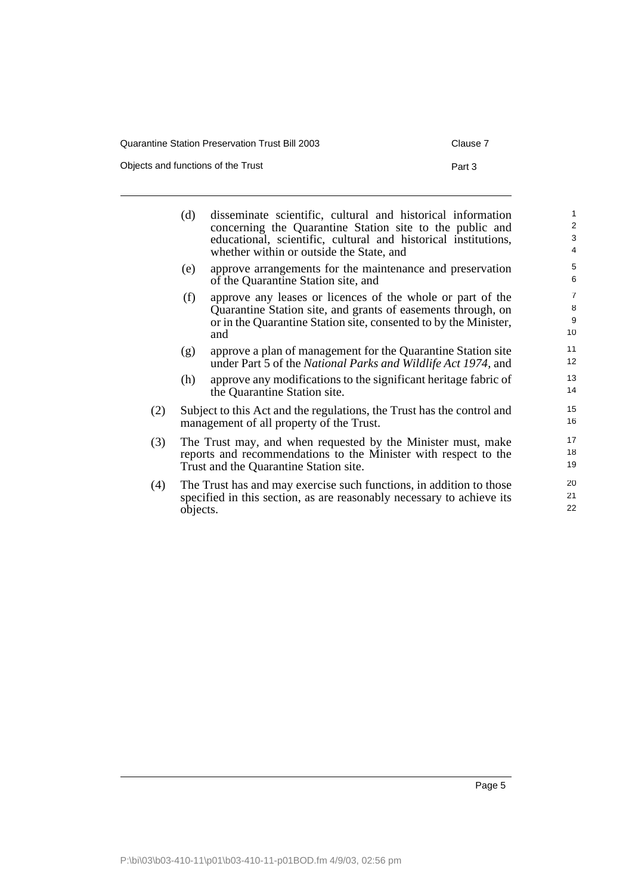| Quarantine Station Preservation Trust Bill 2003 | Clause 7 |
|-------------------------------------------------|----------|
| Objects and functions of the Trust              | Part 3   |

|     | (d)                                                                                                                                                                       | disseminate scientific, cultural and historical information<br>concerning the Quarantine Station site to the public and<br>educational, scientific, cultural and historical institutions,<br>whether within or outside the State, and | $\mathbf{1}$<br>$\overline{2}$<br>3<br>$\overline{4}$ |  |
|-----|---------------------------------------------------------------------------------------------------------------------------------------------------------------------------|---------------------------------------------------------------------------------------------------------------------------------------------------------------------------------------------------------------------------------------|-------------------------------------------------------|--|
|     | (e)                                                                                                                                                                       | approve arrangements for the maintenance and preservation<br>of the Quarantine Station site, and                                                                                                                                      | 5<br>6                                                |  |
|     | (f)                                                                                                                                                                       | approve any leases or licences of the whole or part of the<br>Quarantine Station site, and grants of easements through, on<br>or in the Quarantine Station site, consented to by the Minister,<br>and                                 | $\overline{7}$<br>8<br>9<br>10                        |  |
|     | (g)                                                                                                                                                                       | approve a plan of management for the Quarantine Station site<br>under Part 5 of the National Parks and Wildlife Act 1974, and                                                                                                         | 11<br>12                                              |  |
|     | (h)                                                                                                                                                                       | approve any modifications to the significant heritage fabric of<br>the Quarantine Station site.                                                                                                                                       | 13<br>14                                              |  |
| (2) |                                                                                                                                                                           | Subject to this Act and the regulations, the Trust has the control and<br>management of all property of the Trust.                                                                                                                    | 15<br>16                                              |  |
| (3) | The Trust may, and when requested by the Minister must, make<br>reports and recommendations to the Minister with respect to the<br>Trust and the Quarantine Station site. |                                                                                                                                                                                                                                       |                                                       |  |
| (4) | objects.                                                                                                                                                                  | The Trust has and may exercise such functions, in addition to those<br>specified in this section, as are reasonably necessary to achieve its                                                                                          | 20<br>21<br>22                                        |  |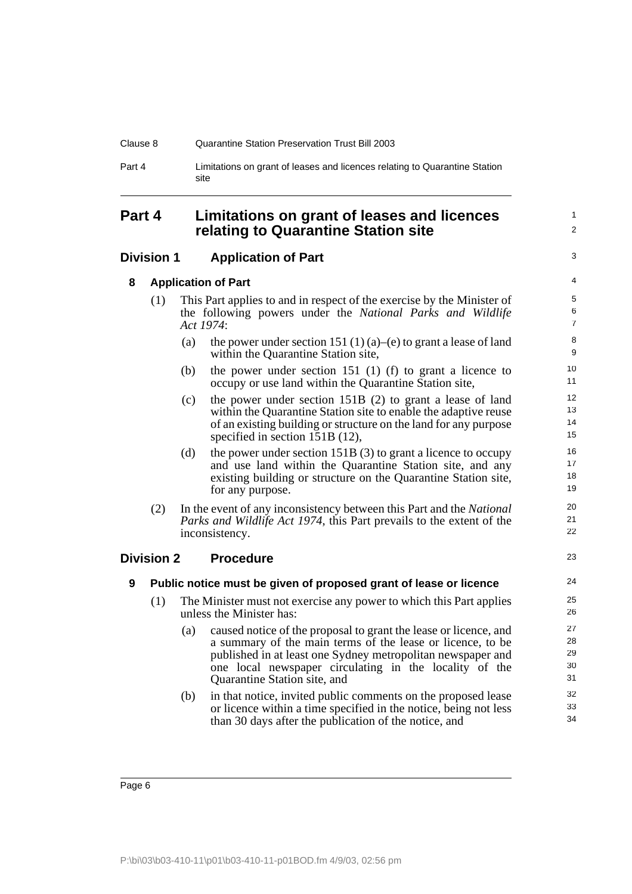| Clause 8 | Quarantine Station Preservation Trust Bill 2003                                    |
|----------|------------------------------------------------------------------------------------|
| Part 4   | Limitations on grant of leases and licences relating to Quarantine Station<br>site |

### <span id="page-11-0"></span>**Part 4 Limitations on grant of leases and licences relating to Quarantine Station site**

#### <span id="page-11-2"></span><span id="page-11-1"></span>**Division 1 Application of Part**

**8 Application of Part**

3 4

23

1  $\overline{2}$ 

| (1) | This Part applies to and in respect of the exercise by the Minister of  |  |  |  |  |
|-----|-------------------------------------------------------------------------|--|--|--|--|
|     | the following powers under the National Parks and Wildlife<br>Act 1974: |  |  |  |  |
|     |                                                                         |  |  |  |  |

- (a) the power under section 151 (1) (a)–(e) to grant a lease of land within the Quarantine Station site,
- (b) the power under section 151 (1) (f) to grant a licence to occupy or use land within the Quarantine Station site,
- (c) the power under section 151B (2) to grant a lease of land within the Quarantine Station site to enable the adaptive reuse of an existing building or structure on the land for any purpose specified in section 151B (12),
- (d) the power under section  $151B(3)$  to grant a licence to occupy and use land within the Quarantine Station site, and any existing building or structure on the Quarantine Station site, for any purpose.
- (2) In the event of any inconsistency between this Part and the *National Parks and Wildlife Act 1974*, this Part prevails to the extent of the inconsistency.

#### <span id="page-11-4"></span><span id="page-11-3"></span>**Division 2 Procedure**

**9 Public notice must be given of proposed grant of lease or licence**

- (1) The Minister must not exercise any power to which this Part applies unless the Minister has:
	- (a) caused notice of the proposal to grant the lease or licence, and a summary of the main terms of the lease or licence, to be published in at least one Sydney metropolitan newspaper and one local newspaper circulating in the locality of the Quarantine Station site, and
	- (b) in that notice, invited public comments on the proposed lease or licence within a time specified in the notice, being not less than 30 days after the publication of the notice, and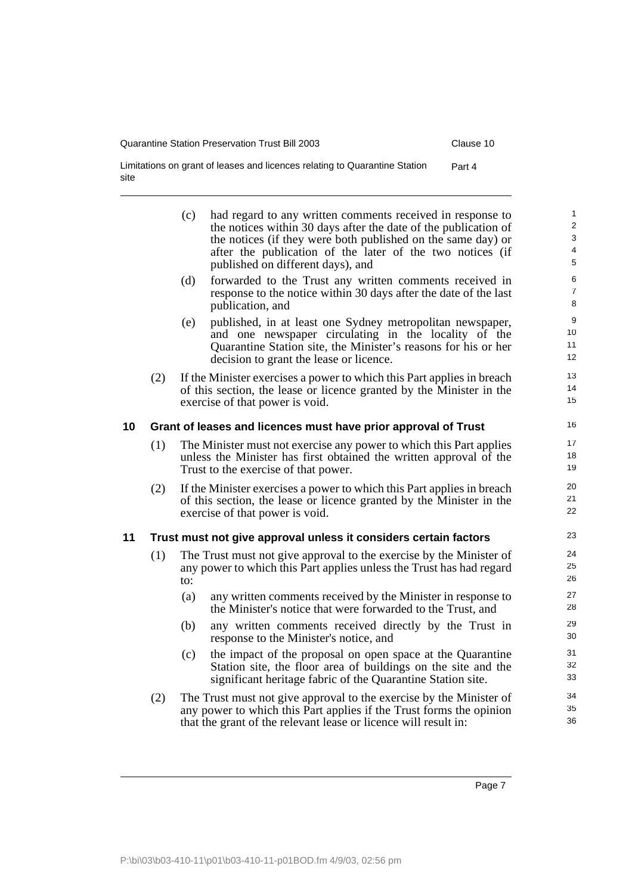Limitations on grant of leases and licences relating to Quarantine Station Part 4 site

<span id="page-12-1"></span><span id="page-12-0"></span>

|    |     | (c) | had regard to any written comments received in response to<br>the notices within 30 days after the date of the publication of<br>the notices (if they were both published on the same day) or<br>after the publication of the later of the two notices (if<br>published on different days), and | $\mathbf{1}$<br>$\overline{2}$<br>3<br>4<br>5 |
|----|-----|-----|-------------------------------------------------------------------------------------------------------------------------------------------------------------------------------------------------------------------------------------------------------------------------------------------------|-----------------------------------------------|
|    |     | (d) | forwarded to the Trust any written comments received in<br>response to the notice within 30 days after the date of the last<br>publication, and                                                                                                                                                 | 6<br>$\overline{7}$<br>8                      |
|    |     | (e) | published, in at least one Sydney metropolitan newspaper,<br>and one newspaper circulating in the locality of the<br>Quarantine Station site, the Minister's reasons for his or her<br>decision to grant the lease or licence.                                                                  | 9<br>10<br>11<br>12 <sup>°</sup>              |
|    | (2) |     | If the Minister exercises a power to which this Part applies in breach<br>of this section, the lease or licence granted by the Minister in the<br>exercise of that power is void.                                                                                                               | 13<br>14<br>15                                |
| 10 |     |     | Grant of leases and licences must have prior approval of Trust                                                                                                                                                                                                                                  | 16                                            |
|    | (1) |     | The Minister must not exercise any power to which this Part applies<br>unless the Minister has first obtained the written approval of the<br>Trust to the exercise of that power.                                                                                                               | 17<br>18<br>19                                |
|    | (2) |     | If the Minister exercises a power to which this Part applies in breach<br>of this section, the lease or licence granted by the Minister in the<br>exercise of that power is void.                                                                                                               | 20<br>21<br>22                                |
| 11 |     |     | Trust must not give approval unless it considers certain factors                                                                                                                                                                                                                                | 23                                            |
|    | (1) | to: | The Trust must not give approval to the exercise by the Minister of<br>any power to which this Part applies unless the Trust has had regard                                                                                                                                                     | 24<br>25<br>26                                |
|    |     | (a) | any written comments received by the Minister in response to<br>the Minister's notice that were forwarded to the Trust, and                                                                                                                                                                     | 27<br>28                                      |
|    |     | (b) | any written comments received directly by the Trust in<br>response to the Minister's notice, and                                                                                                                                                                                                | 29<br>30                                      |
|    |     | (c) | the impact of the proposal on open space at the Quarantine<br>Station site, the floor area of buildings on the site and the<br>significant heritage fabric of the Quarantine Station site.                                                                                                      | 31<br>32<br>33                                |
|    | (2) |     | The Trust must not give approval to the exercise by the Minister of<br>any power to which this Part applies if the Trust forms the opinion<br>that the grant of the relevant lease or licence will result in:                                                                                   | 34<br>35<br>36                                |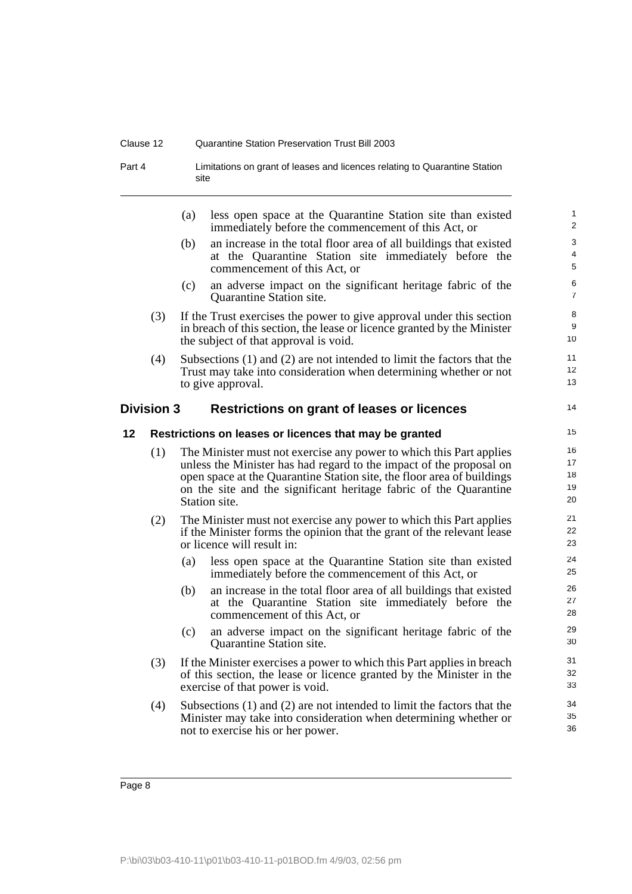#### Clause 12 Quarantine Station Preservation Trust Bill 2003

Part 4 **Limitations on grant of leases and licences relating to Quarantine Station** site

<span id="page-13-1"></span><span id="page-13-0"></span>

|    |                   | (a) | less open space at the Quarantine Station site than existed<br>immediately before the commencement of this Act, or                                                                                                                                                                                         | 1<br>$\overline{2}$         |
|----|-------------------|-----|------------------------------------------------------------------------------------------------------------------------------------------------------------------------------------------------------------------------------------------------------------------------------------------------------------|-----------------------------|
|    |                   | (b) | an increase in the total floor area of all buildings that existed<br>at the Quarantine Station site immediately before the<br>commencement of this Act, or                                                                                                                                                 | 3<br>4<br>5                 |
|    |                   | (c) | an adverse impact on the significant heritage fabric of the<br>Quarantine Station site.                                                                                                                                                                                                                    | 6<br>$\overline{7}$         |
|    | (3)               |     | If the Trust exercises the power to give approval under this section<br>in breach of this section, the lease or licence granted by the Minister<br>the subject of that approval is void.                                                                                                                   | 8<br>9<br>10 <sup>1</sup>   |
|    | (4)               |     | Subsections $(1)$ and $(2)$ are not intended to limit the factors that the<br>Trust may take into consideration when determining whether or not<br>to give approval.                                                                                                                                       | 11<br>12 <sup>2</sup><br>13 |
|    | <b>Division 3</b> |     | <b>Restrictions on grant of leases or licences</b>                                                                                                                                                                                                                                                         | 14                          |
| 12 |                   |     | Restrictions on leases or licences that may be granted                                                                                                                                                                                                                                                     | 15                          |
|    | (1)               |     | The Minister must not exercise any power to which this Part applies<br>unless the Minister has had regard to the impact of the proposal on<br>open space at the Quarantine Station site, the floor area of buildings<br>on the site and the significant heritage fabric of the Quarantine<br>Station site. | 16<br>17<br>18<br>19<br>20  |
|    | (2)               |     | The Minister must not exercise any power to which this Part applies<br>if the Minister forms the opinion that the grant of the relevant lease<br>or licence will result in:                                                                                                                                | 21<br>22<br>23              |
|    |                   | (a) | less open space at the Quarantine Station site than existed<br>immediately before the commencement of this Act, or                                                                                                                                                                                         | 24<br>25                    |
|    |                   | (b) | an increase in the total floor area of all buildings that existed<br>at the Quarantine Station site immediately before the<br>commencement of this Act, or                                                                                                                                                 | 26<br>27<br>28              |
|    |                   | (c) | an adverse impact on the significant heritage fabric of the<br>Quarantine Station site.                                                                                                                                                                                                                    | 29<br>30                    |
|    | (3)               |     | If the Minister exercises a power to which this Part applies in breach<br>of this section, the lease or licence granted by the Minister in the<br>exercise of that power is void.                                                                                                                          | 31<br>32<br>33              |
|    | (4)               |     | Subsections $(1)$ and $(2)$ are not intended to limit the factors that the<br>Minister may take into consideration when determining whether or<br>not to exercise his or her power.                                                                                                                        | 34<br>35<br>36              |
|    |                   |     |                                                                                                                                                                                                                                                                                                            |                             |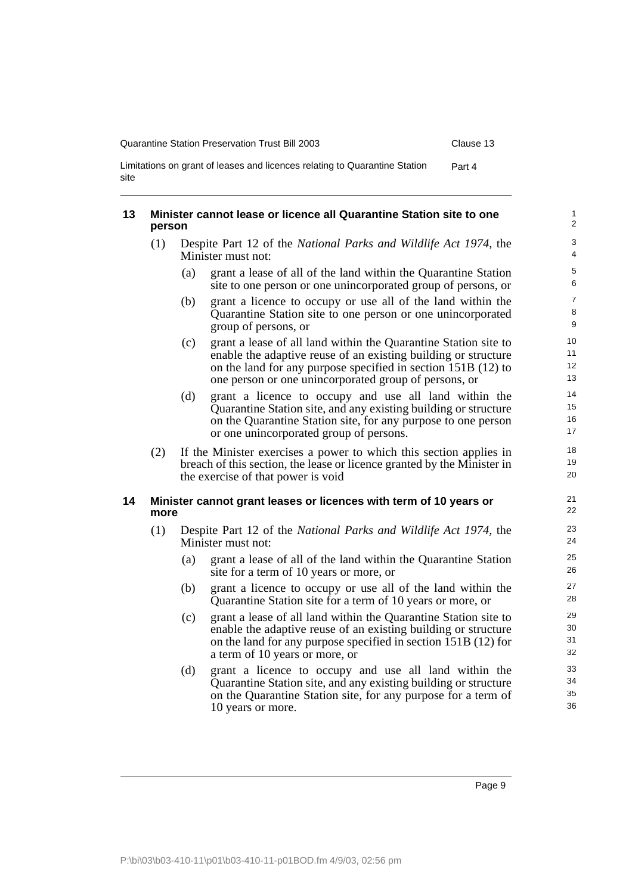| Quarantine Station Preservation Trust Bill 2003                                    | Clause 13 |
|------------------------------------------------------------------------------------|-----------|
| Limitations on grant of leases and licences relating to Quarantine Station<br>site | Part 4    |

<span id="page-14-1"></span><span id="page-14-0"></span>

| 13 | person | Minister cannot lease or licence all Quarantine Station site to one                                                                                                                                                                                                | $\mathbf{1}$<br>$\overline{2}$ |
|----|--------|--------------------------------------------------------------------------------------------------------------------------------------------------------------------------------------------------------------------------------------------------------------------|--------------------------------|
|    | (1)    | Despite Part 12 of the National Parks and Wildlife Act 1974, the<br>Minister must not:                                                                                                                                                                             | $\ensuremath{\mathsf{3}}$<br>4 |
|    |        | grant a lease of all of the land within the Quarantine Station<br>(a)<br>site to one person or one unincorporated group of persons, or                                                                                                                             | $\,$ 5 $\,$<br>6               |
|    |        | grant a licence to occupy or use all of the land within the<br>(b)<br>Quarantine Station site to one person or one unincorporated<br>group of persons, or                                                                                                          | $\overline{7}$<br>8<br>9       |
|    |        | grant a lease of all land within the Quarantine Station site to<br>(c)<br>enable the adaptive reuse of an existing building or structure<br>on the land for any purpose specified in section 151B (12) to<br>one person or one unincorporated group of persons, or | 10<br>11<br>12<br>13           |
|    |        | (d)<br>grant a licence to occupy and use all land within the<br>Quarantine Station site, and any existing building or structure<br>on the Quarantine Station site, for any purpose to one person<br>or one unincorporated group of persons.                        | 14<br>15<br>16<br>17           |
|    | (2)    | If the Minister exercises a power to which this section applies in<br>breach of this section, the lease or licence granted by the Minister in<br>the exercise of that power is void                                                                                | 18<br>19<br>20                 |
| 14 | more   | Minister cannot grant leases or licences with term of 10 years or                                                                                                                                                                                                  | 21<br>22                       |
|    | (1)    | Despite Part 12 of the National Parks and Wildlife Act 1974, the<br>Minister must not:                                                                                                                                                                             | 23<br>24                       |
|    |        | grant a lease of all of the land within the Quarantine Station<br>(a)<br>site for a term of 10 years or more, or                                                                                                                                                   | 25<br>26                       |
|    |        | grant a licence to occupy or use all of the land within the<br>(b)<br>Quarantine Station site for a term of 10 years or more, or                                                                                                                                   | 27<br>28                       |
|    |        | grant a lease of all land within the Quarantine Station site to<br>(c)<br>enable the adaptive reuse of an existing building or structure<br>on the land for any purpose specified in section 151B (12) for<br>a term of 10 years or more, or                       | 29<br>30<br>31<br>32           |
|    |        | (d)<br>grant a licence to occupy and use all land within the<br>Quarantine Station site, and any existing building or structure<br>on the Quarantine Station site, for any purpose for a term of<br>10 years or more.                                              | 33<br>34<br>35<br>36           |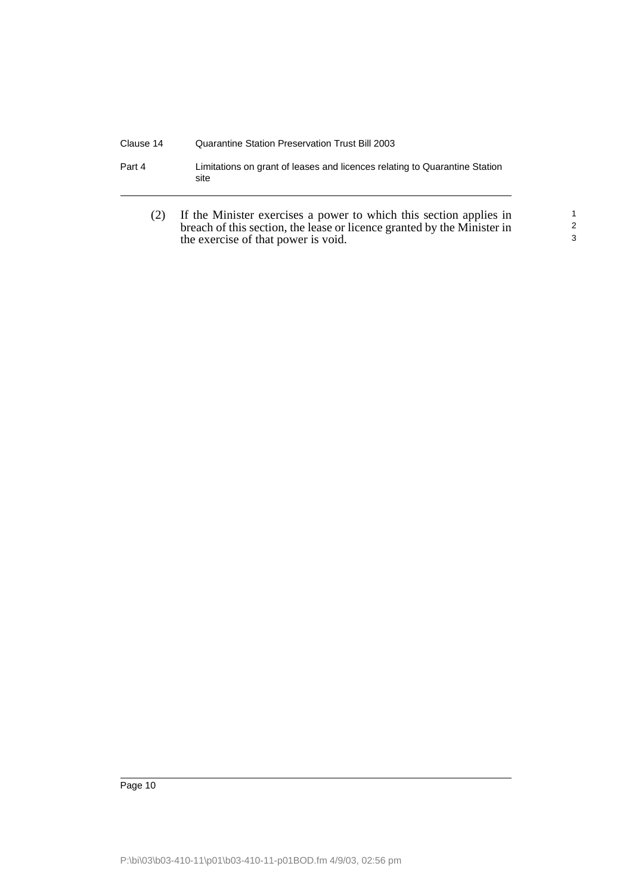| Clause 14 | Quarantine Station Preservation Trust Bill 2003                                    |
|-----------|------------------------------------------------------------------------------------|
| Part 4    | Limitations on grant of leases and licences relating to Quarantine Station<br>site |

(2) If the Minister exercises a power to which this section applies in breach of this section, the lease or licence granted by the Minister in the exercise of that power is void.

1 2 3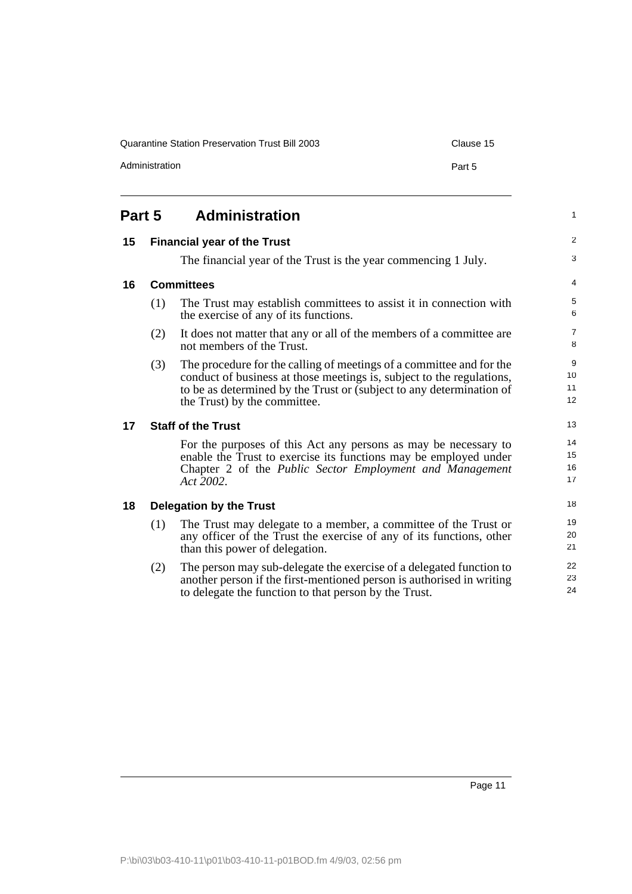Administration **Part 5** 

23 24

<span id="page-16-2"></span><span id="page-16-1"></span><span id="page-16-0"></span>

| Part 5 |     | <b>Administration</b>                                                                                                                                                                                                                                 | $\mathbf{1}$         |
|--------|-----|-------------------------------------------------------------------------------------------------------------------------------------------------------------------------------------------------------------------------------------------------------|----------------------|
| 15     |     | <b>Financial year of the Trust</b>                                                                                                                                                                                                                    | $\overline{2}$       |
|        |     | The financial year of the Trust is the year commencing 1 July.                                                                                                                                                                                        | 3                    |
| 16     |     | <b>Committees</b>                                                                                                                                                                                                                                     | $\overline{4}$       |
|        | (1) | The Trust may establish committees to assist it in connection with<br>the exercise of any of its functions.                                                                                                                                           | 5<br>6               |
|        | (2) | It does not matter that any or all of the members of a committee are<br>not members of the Trust.                                                                                                                                                     | $\overline{7}$<br>8  |
|        | (3) | The procedure for the calling of meetings of a committee and for the<br>conduct of business at those meetings is, subject to the regulations,<br>to be as determined by the Trust or (subject to any determination of<br>the Trust) by the committee. | 9<br>10<br>11<br>12  |
| 17     |     | <b>Staff of the Trust</b>                                                                                                                                                                                                                             | 13                   |
|        |     | For the purposes of this Act any persons as may be necessary to<br>enable the Trust to exercise its functions may be employed under<br>Chapter 2 of the <i>Public Sector Employment and Management</i><br>Act 2002.                                   | 14<br>15<br>16<br>17 |
| 18     |     | <b>Delegation by the Trust</b>                                                                                                                                                                                                                        | 18                   |
|        | (1) | The Trust may delegate to a member, a committee of the Trust or<br>any officer of the Trust the exercise of any of its functions, other<br>than this power of delegation.                                                                             | 19<br>20<br>21       |
|        | (2) | The person may sub-delegate the exercise of a delegated function to                                                                                                                                                                                   | 22                   |

<span id="page-16-4"></span><span id="page-16-3"></span>(2) The person may sub-delegate the exercise of a delegated function to another person if the first-mentioned person is authorised in writing to delegate the function to that person by the Trust.

Page 11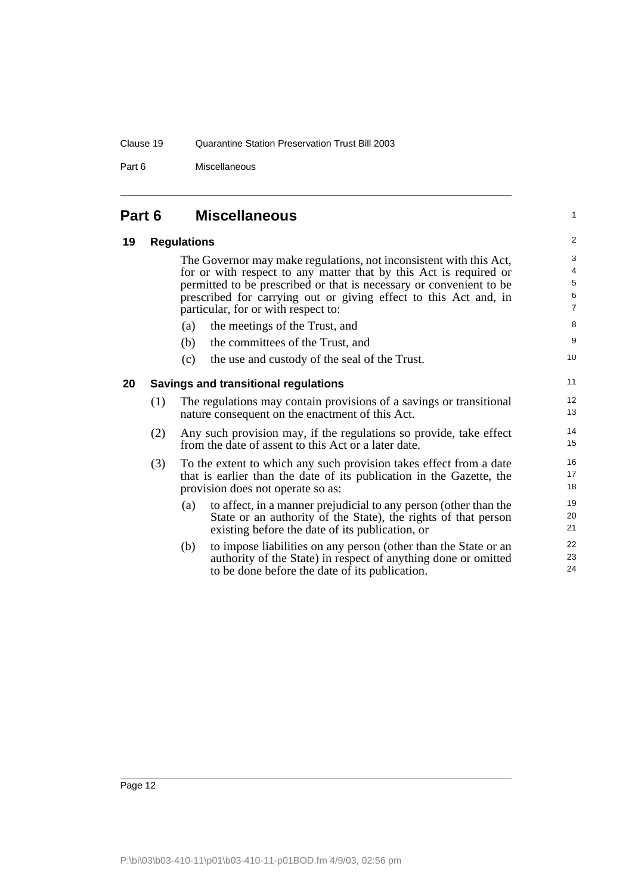#### Clause 19 Quarantine Station Preservation Trust Bill 2003

Part 6 Miscellaneous

<span id="page-17-2"></span><span id="page-17-1"></span><span id="page-17-0"></span>

| Part 6 |     | <b>Miscellaneous</b> |                                                                                                                                                                                                                                                                                                                           |                                    |
|--------|-----|----------------------|---------------------------------------------------------------------------------------------------------------------------------------------------------------------------------------------------------------------------------------------------------------------------------------------------------------------------|------------------------------------|
| 19     |     | <b>Regulations</b>   |                                                                                                                                                                                                                                                                                                                           |                                    |
|        |     |                      | The Governor may make regulations, not inconsistent with this Act,<br>for or with respect to any matter that by this Act is required or<br>permitted to be prescribed or that is necessary or convenient to be<br>prescribed for carrying out or giving effect to this Act and, in<br>particular, for or with respect to: | 3<br>4<br>5<br>6<br>$\overline{7}$ |
|        |     | (a)                  | the meetings of the Trust, and                                                                                                                                                                                                                                                                                            | 8                                  |
|        |     | (b)                  | the committees of the Trust, and                                                                                                                                                                                                                                                                                          | 9                                  |
|        |     | (c)                  | the use and custody of the seal of the Trust.                                                                                                                                                                                                                                                                             | 10                                 |
| 20     |     |                      | Savings and transitional regulations                                                                                                                                                                                                                                                                                      | 11                                 |
|        | (1) |                      | The regulations may contain provisions of a savings or transitional<br>nature consequent on the enactment of this Act.                                                                                                                                                                                                    | 12<br>13                           |
|        | (2) |                      | Any such provision may, if the regulations so provide, take effect<br>from the date of assent to this Act or a later date.                                                                                                                                                                                                | 14<br>15                           |
|        | (3) |                      | To the extent to which any such provision takes effect from a date<br>that is earlier than the date of its publication in the Gazette, the<br>provision does not operate so as:                                                                                                                                           | 16<br>17<br>18                     |
|        |     | (a)                  | to affect, in a manner prejudicial to any person (other than the<br>State or an authority of the State), the rights of that person<br>existing before the date of its publication, or                                                                                                                                     | 19<br>20<br>21                     |
|        |     | (b)                  | to impose liabilities on any person (other than the State or an<br>authority of the State) in respect of anything done or omitted<br>to be done before the date of its publication.                                                                                                                                       | 22<br>23<br>24                     |
|        |     |                      |                                                                                                                                                                                                                                                                                                                           |                                    |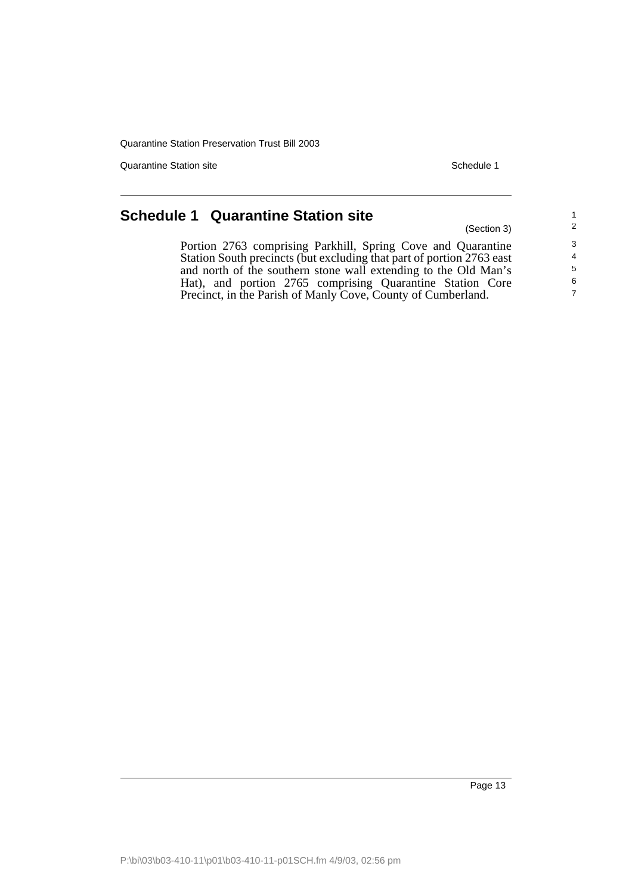Quarantine Station site Superior Schedule 1 and Schedule 1 and Schedule 1 and Schedule 1

(Section 3)

## <span id="page-18-0"></span>**Schedule 1 Quarantine Station site**

Portion 2763 comprising Parkhill, Spring Cove and Quarantine Station South precincts (but excluding that part of portion 2763 east and north of the southern stone wall extending to the Old Man's Hat), and portion 2765 comprising Quarantine Station Core Precinct, in the Parish of Manly Cove, County of Cumberland.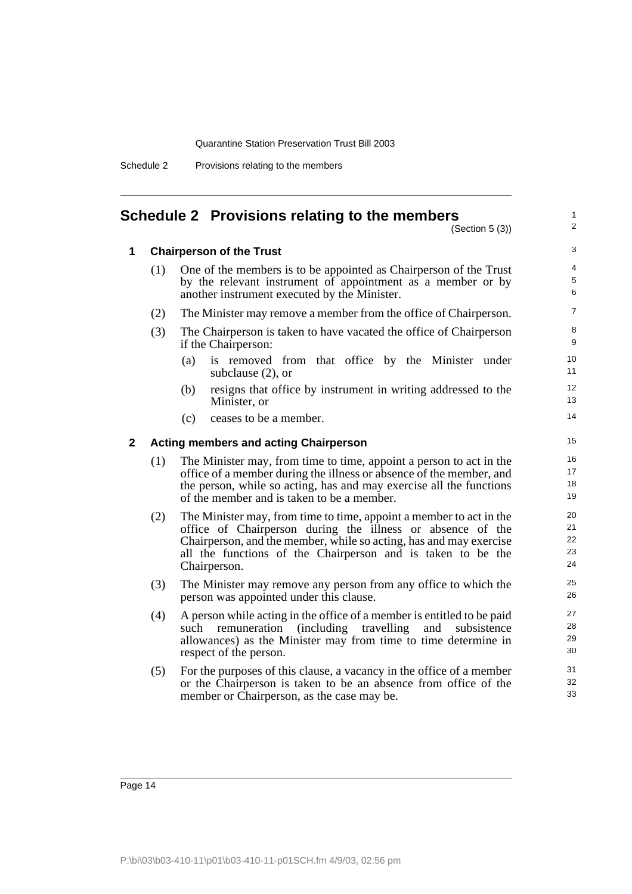| Schedule 2 |                                    |  |  |
|------------|------------------------------------|--|--|
|            | Provisions relating to the members |  |  |

#### <span id="page-19-0"></span>**Schedule 2 Provisions relating to the members**

(Section 5 (3))

1 2

#### **1 Chairperson of the Trust**

| (1) | One of the members is to be appointed as Chairperson of the Trust |
|-----|-------------------------------------------------------------------|
|     | by the relevant instrument of appointment as a member or by       |
|     | another instrument executed by the Minister.                      |

- (2) The Minister may remove a member from the office of Chairperson.
- (3) The Chairperson is taken to have vacated the office of Chairperson if the Chairperson:
	- (a) is removed from that office by the Minister under subclause (2), or
	- (b) resigns that office by instrument in writing addressed to the Minister, or
	- (c) ceases to be a member.

#### **2 Acting members and acting Chairperson**

- (1) The Minister may, from time to time, appoint a person to act in the office of a member during the illness or absence of the member, and the person, while so acting, has and may exercise all the functions of the member and is taken to be a member.
- (2) The Minister may, from time to time, appoint a member to act in the office of Chairperson during the illness or absence of the Chairperson, and the member, while so acting, has and may exercise all the functions of the Chairperson and is taken to be the Chairperson.
- (3) The Minister may remove any person from any office to which the person was appointed under this clause.
- (4) A person while acting in the office of a member is entitled to be paid such remuneration (including travelling and subsistence allowances) as the Minister may from time to time determine in respect of the person.
- (5) For the purposes of this clause, a vacancy in the office of a member or the Chairperson is taken to be an absence from office of the member or Chairperson, as the case may be.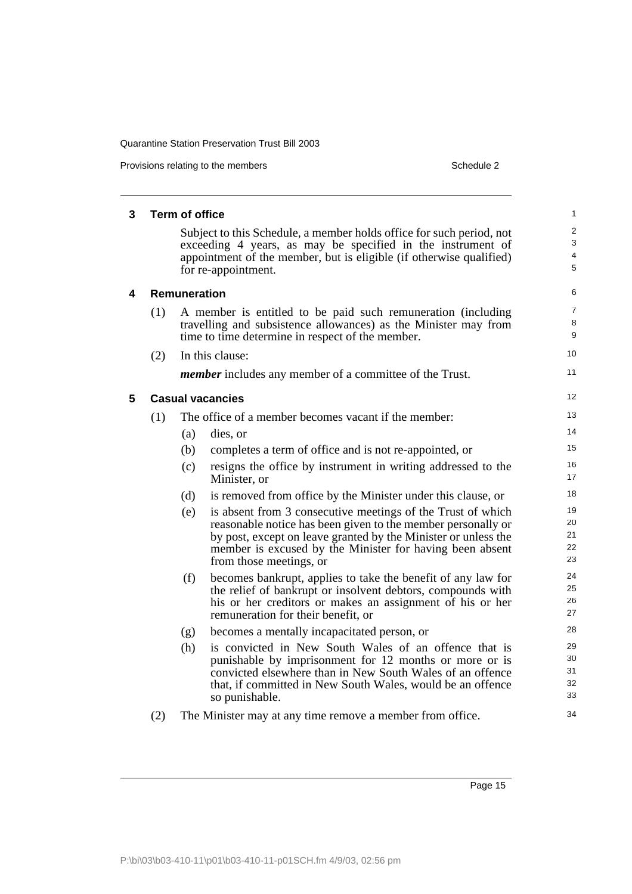Provisions relating to the members **Schedule 2** Schedule 2

| 3 |     | <b>Term of office</b> |                                                                                                                                                                                                            | 1                        |
|---|-----|-----------------------|------------------------------------------------------------------------------------------------------------------------------------------------------------------------------------------------------------|--------------------------|
|   |     |                       | Subject to this Schedule, a member holds office for such period, not<br>exceeding 4 years, as may be specified in the instrument of<br>appointment of the member, but is eligible (if otherwise qualified) | $\overline{2}$<br>3<br>4 |
|   |     |                       | for re-appointment.                                                                                                                                                                                        | 5                        |
| 4 |     | <b>Remuneration</b>   |                                                                                                                                                                                                            | 6                        |
|   | (1) |                       | A member is entitled to be paid such remuneration (including                                                                                                                                               | $\overline{7}$           |
|   |     |                       | travelling and subsistence allowances) as the Minister may from<br>time to time determine in respect of the member.                                                                                        | 8<br>9                   |
|   | (2) |                       | In this clause:                                                                                                                                                                                            | 10                       |
|   |     |                       | <i>member</i> includes any member of a committee of the Trust.                                                                                                                                             | 11                       |
| 5 |     |                       | <b>Casual vacancies</b>                                                                                                                                                                                    | 12                       |
|   | (1) |                       | The office of a member becomes vacant if the member:                                                                                                                                                       | 13                       |
|   |     | (a)                   | dies, or                                                                                                                                                                                                   | 14                       |
|   |     | (b)                   | completes a term of office and is not re-appointed, or                                                                                                                                                     | 15                       |
|   |     | (c)                   | resigns the office by instrument in writing addressed to the<br>Minister, or                                                                                                                               | 16<br>17                 |
|   |     | (d)                   | is removed from office by the Minister under this clause, or                                                                                                                                               | 18                       |
|   |     | (e)                   | is absent from 3 consecutive meetings of the Trust of which                                                                                                                                                | 19                       |
|   |     |                       | reasonable notice has been given to the member personally or<br>by post, except on leave granted by the Minister or unless the                                                                             | 20<br>21                 |
|   |     |                       | member is excused by the Minister for having been absent                                                                                                                                                   | 22                       |
|   |     |                       | from those meetings, or                                                                                                                                                                                    | 23                       |
|   |     | (f)                   | becomes bankrupt, applies to take the benefit of any law for                                                                                                                                               | 24                       |
|   |     |                       | the relief of bankrupt or insolvent debtors, compounds with<br>his or her creditors or makes an assignment of his or her                                                                                   | 25<br>26                 |
|   |     |                       | remuneration for their benefit, or                                                                                                                                                                         | 27                       |
|   |     | (g)                   | becomes a mentally incapacitated person, or                                                                                                                                                                | 28                       |
|   |     | (h)                   | is convicted in New South Wales of an offence that is                                                                                                                                                      | 29                       |
|   |     |                       | punishable by imprisonment for 12 months or more or is                                                                                                                                                     | 30<br>31                 |
|   |     |                       | convicted elsewhere than in New South Wales of an offence<br>that, if committed in New South Wales, would be an offence                                                                                    | 32                       |
|   |     |                       | so punishable.                                                                                                                                                                                             | 33                       |
|   | (2) |                       | The Minister may at any time remove a member from office.                                                                                                                                                  | 34                       |
|   |     |                       |                                                                                                                                                                                                            |                          |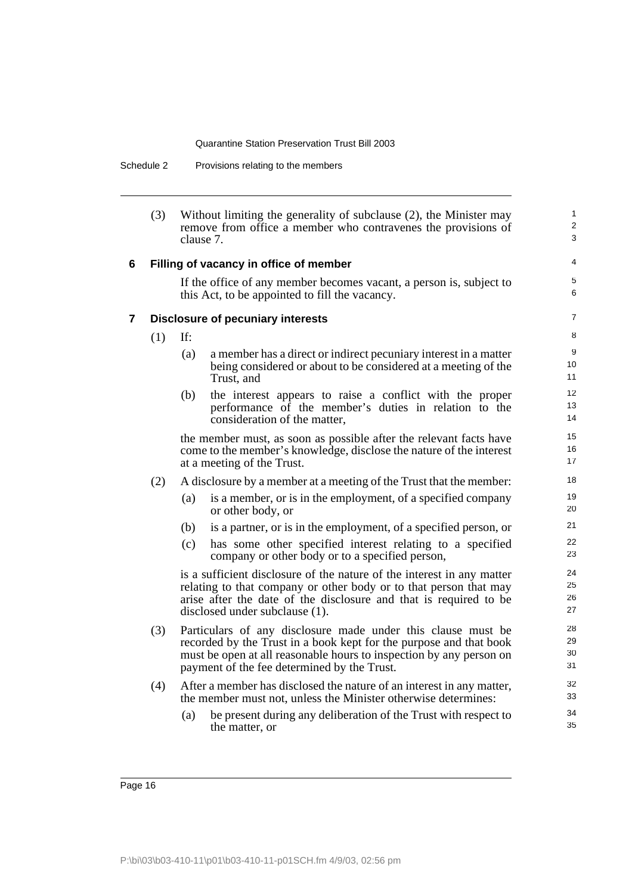Schedule 2 Provisions relating to the members

|   | (3) | Without limiting the generality of subclause (2), the Minister may<br>remove from office a member who contravenes the provisions of<br>clause 7. |                                                                                                                                                                                                                                                          |                      |  |
|---|-----|--------------------------------------------------------------------------------------------------------------------------------------------------|----------------------------------------------------------------------------------------------------------------------------------------------------------------------------------------------------------------------------------------------------------|----------------------|--|
| 6 |     | Filling of vacancy in office of member                                                                                                           |                                                                                                                                                                                                                                                          |                      |  |
|   |     | If the office of any member becomes vacant, a person is, subject to<br>this Act, to be appointed to fill the vacancy.                            |                                                                                                                                                                                                                                                          |                      |  |
| 7 |     |                                                                                                                                                  | <b>Disclosure of pecuniary interests</b>                                                                                                                                                                                                                 | $\overline{7}$       |  |
|   | (1) | If:                                                                                                                                              |                                                                                                                                                                                                                                                          | 8                    |  |
|   |     | (a)                                                                                                                                              | a member has a direct or indirect pecuniary interest in a matter<br>being considered or about to be considered at a meeting of the<br>Trust, and                                                                                                         | 9<br>10<br>11        |  |
|   |     | (b)                                                                                                                                              | the interest appears to raise a conflict with the proper<br>performance of the member's duties in relation to the<br>consideration of the matter,                                                                                                        | 12<br>13<br>14       |  |
|   |     |                                                                                                                                                  | the member must, as soon as possible after the relevant facts have<br>come to the member's knowledge, disclose the nature of the interest<br>at a meeting of the Trust.                                                                                  | 15<br>16<br>17       |  |
|   | (2) |                                                                                                                                                  | A disclosure by a member at a meeting of the Trust that the member:                                                                                                                                                                                      | 18                   |  |
|   |     | (a)                                                                                                                                              | is a member, or is in the employment, of a specified company<br>or other body, or                                                                                                                                                                        | 19<br>20             |  |
|   |     | (b)                                                                                                                                              | is a partner, or is in the employment, of a specified person, or                                                                                                                                                                                         | 21                   |  |
|   |     | (c)                                                                                                                                              | has some other specified interest relating to a specified<br>company or other body or to a specified person,                                                                                                                                             | 22<br>23             |  |
|   |     |                                                                                                                                                  | is a sufficient disclosure of the nature of the interest in any matter<br>relating to that company or other body or to that person that may<br>arise after the date of the disclosure and that is required to be<br>disclosed under subclause (1).       | 24<br>25<br>26<br>27 |  |
|   | (3) |                                                                                                                                                  | Particulars of any disclosure made under this clause must be<br>recorded by the Trust in a book kept for the purpose and that book<br>must be open at all reasonable hours to inspection by any person on<br>payment of the fee determined by the Trust. | 28<br>29<br>30<br>31 |  |
|   | (4) |                                                                                                                                                  | After a member has disclosed the nature of an interest in any matter,<br>the member must not, unless the Minister otherwise determines:                                                                                                                  | 32<br>33             |  |
|   |     | (a)                                                                                                                                              | be present during any deliberation of the Trust with respect to<br>the matter, or                                                                                                                                                                        | 34<br>35             |  |
|   |     |                                                                                                                                                  |                                                                                                                                                                                                                                                          |                      |  |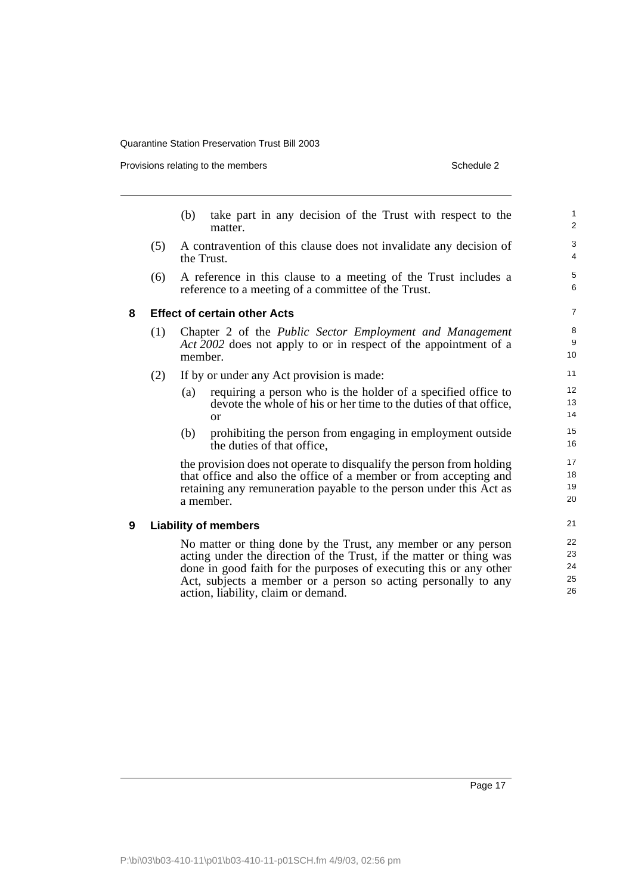Provisions relating to the members

| Schedule 2 |  |  |  |  |
|------------|--|--|--|--|
|------------|--|--|--|--|

|   |     | (b)        | take part in any decision of the Trust with respect to the<br>matter.                                                                                                                                                                                                                                                | $\mathbf{1}$<br>$\overline{2}$ |
|---|-----|------------|----------------------------------------------------------------------------------------------------------------------------------------------------------------------------------------------------------------------------------------------------------------------------------------------------------------------|--------------------------------|
|   | (5) | the Trust. | A contravention of this clause does not invalidate any decision of                                                                                                                                                                                                                                                   | 3<br>$\overline{4}$            |
|   | (6) |            | A reference in this clause to a meeting of the Trust includes a<br>reference to a meeting of a committee of the Trust.                                                                                                                                                                                               | 5<br>6                         |
| 8 |     |            | <b>Effect of certain other Acts</b>                                                                                                                                                                                                                                                                                  | $\overline{7}$                 |
|   | (1) | member.    | Chapter 2 of the <i>Public Sector Employment and Management</i><br>Act 2002 does not apply to or in respect of the appointment of a                                                                                                                                                                                  | 8<br>9<br>10 <sup>10</sup>     |
|   | (2) |            | If by or under any Act provision is made:                                                                                                                                                                                                                                                                            | 11                             |
|   |     | (a)        | requiring a person who is the holder of a specified office to<br>devote the whole of his or her time to the duties of that office,<br><sub>or</sub>                                                                                                                                                                  | 12 <sup>2</sup><br>13<br>14    |
|   |     | (b)        | prohibiting the person from engaging in employment outside<br>the duties of that office,                                                                                                                                                                                                                             | 15<br>16                       |
|   |     |            | the provision does not operate to disqualify the person from holding<br>that office and also the office of a member or from accepting and<br>retaining any remuneration payable to the person under this Act as<br>a member.                                                                                         | 17<br>18<br>19<br>20           |
| 9 |     |            | <b>Liability of members</b>                                                                                                                                                                                                                                                                                          | 21                             |
|   |     |            | No matter or thing done by the Trust, any member or any person<br>acting under the direction of the Trust, if the matter or thing was<br>done in good faith for the purposes of executing this or any other<br>Act, subjects a member or a person so acting personally to any<br>action, liability, claim or demand. | 22<br>23<br>24<br>25<br>26     |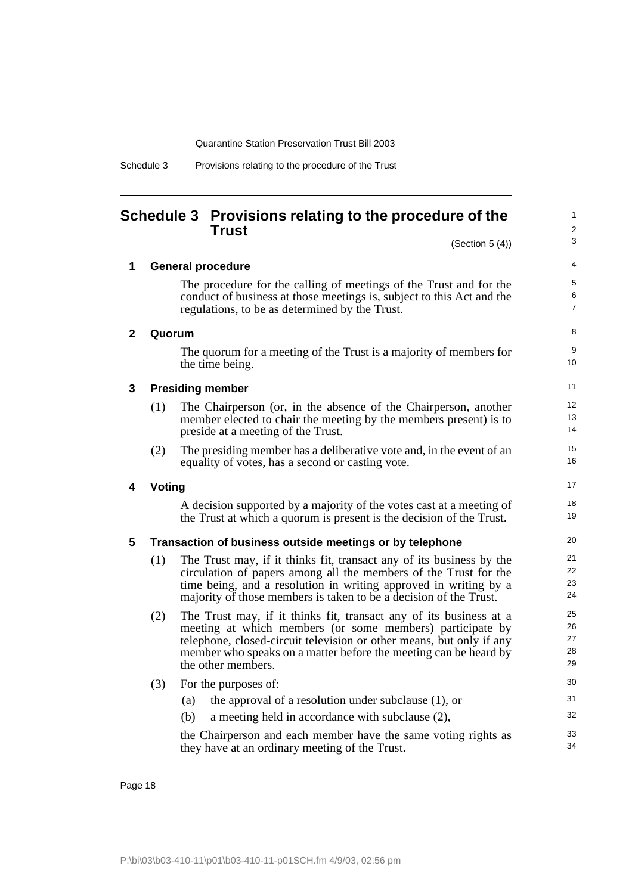| Schedule 3 | Provisions relating to the procedure of the Trust |  |  |  |
|------------|---------------------------------------------------|--|--|--|

### <span id="page-23-0"></span>**Schedule 3 Provisions relating to the procedure of the Trust**

(Section 5 (4))

1  $\overline{2}$ 3

8 9 10

17 18 19

|  | <b>General procedure</b> |
|--|--------------------------|
|--|--------------------------|

The procedure for the calling of meetings of the Trust and for the conduct of business at those meetings is, subject to this Act and the regulations, to be as determined by the Trust.

| 2 | Quorum |
|---|--------|
|---|--------|

The quorum for a meeting of the Trust is a majority of members for the time being.

#### **3 Presiding member**

- (1) The Chairperson (or, in the absence of the Chairperson, another member elected to chair the meeting by the members present) is to preside at a meeting of the Trust.
- (2) The presiding member has a deliberative vote and, in the event of an equality of votes, has a second or casting vote.

#### **4 Voting**

A decision supported by a majority of the votes cast at a meeting of the Trust at which a quorum is present is the decision of the Trust.

#### **5 Transaction of business outside meetings or by telephone**

- (1) The Trust may, if it thinks fit, transact any of its business by the circulation of papers among all the members of the Trust for the time being, and a resolution in writing approved in writing by a majority of those members is taken to be a decision of the Trust.
- (2) The Trust may, if it thinks fit, transact any of its business at a meeting at which members (or some members) participate by telephone, closed-circuit television or other means, but only if any member who speaks on a matter before the meeting can be heard by the other members.
- (3) For the purposes of: (a) the approval of a resolution under subclause (1), or (b) a meeting held in accordance with subclause (2),

the Chairperson and each member have the same voting rights as they have at an ordinary meeting of the Trust.